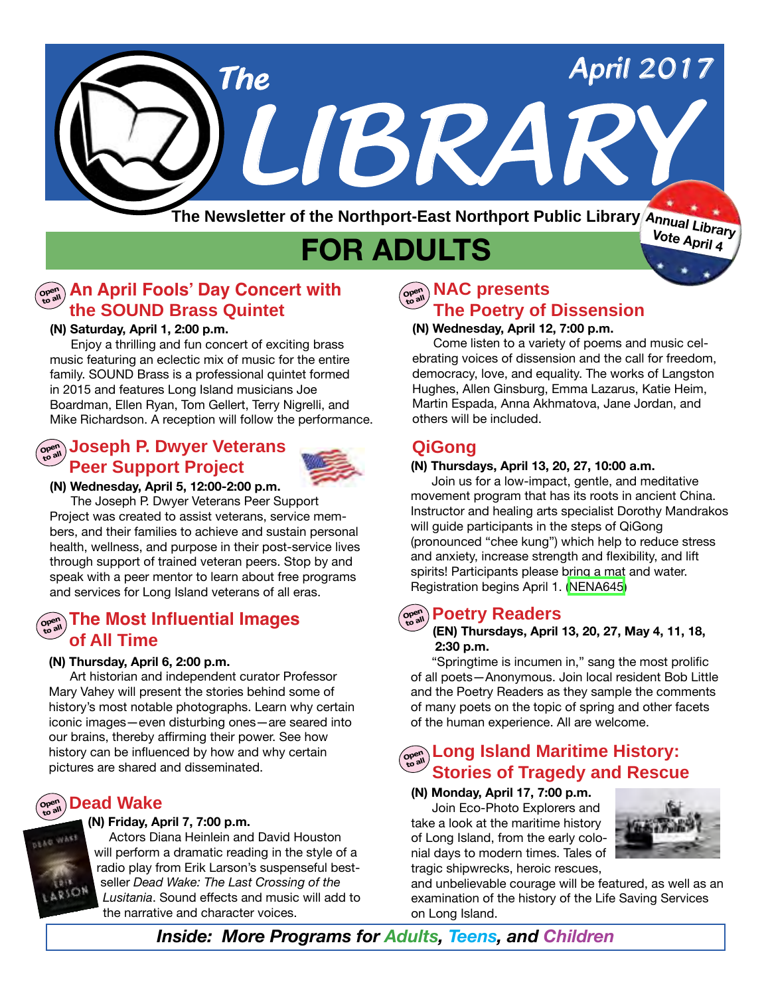

# **FOR ADULTS**

## $\left(\begin{smallmatrix} \mathbb{C} & \mathbb{C}^{\mathrm{opt}} \ \mathbb{C} & \mathbb{C}^{\mathrm{opt}} \end{smallmatrix}\right)$  An April Fools' Day Concert with **the SOUND Brass Quintet**

### **(N) Saturday, April 1, 2:00 p.m.**

 Enjoy a thrilling and fun concert of exciting brass music featuring an eclectic mix of music for the entire family. SOUND Brass is a professional quintet formed in 2015 and features Long Island musicians Joe Boardman, Ellen Ryan, Tom Gellert, Terry Nigrelli, and Mike Richardson. A reception will follow the performance.

## **Ope<sup>n</sup> to all Joseph P. Dwyer Veterans Peer Support Project**



### **(N) Wednesday, April 5, 12:00-2:00 p.m.**

 The Joseph P. Dwyer Veterans Peer Support Project was created to assist veterans, service members, and their families to achieve and sustain personal health, wellness, and purpose in their post-service lives through support of trained veteran peers. Stop by and speak with a peer mentor to learn about free programs and services for Long Island veterans of all eras.

## $\sum_{\mathbf{p}\in\mathbb{R}^n} \mathbf{p}$  The Most Influential Images **of All Time**

### **(N) Thursday, April 6, 2:00 p.m.**

Art historian and independent curator Professor Mary Vahey will present the stories behind some of history's most notable photographs. Learn why certain iconic images—even disturbing ones—are seared into our brains, thereby affirming their power. See how history can be influenced by how and why certain pictures are shared and disseminated.

### **Dead Wake Ope<sup>n</sup> to all**

### **(N) Friday, April 7, 7:00 p.m.**

 Actors Diana Heinlein and David Houston will perform a dramatic reading in the style of a radio play from Erik Larson's suspenseful bestseller *Dead Wake: The Last Crossing of the Lusitania*. Sound effects and music will add to the narrative and character voices.

### **NAC presents The Poetry of Dissension Ope<sup>n</sup> to all**

### **(N) Wednesday, April 12, 7:00 p.m.**

Come listen to a variety of poems and music celebrating voices of dissension and the call for freedom, democracy, love, and equality. The works of Langston Hughes, Allen Ginsburg, Emma Lazarus, Katie Heim, Martin Espada, Anna Akhmatova, Jane Jordan, and others will be included.

## **QiGong**

### **(N) Thursdays, April 13, 20, 27, 10:00 a.m.**

 Join us for a low-impact, gentle, and meditative movement program that has its roots in ancient China. Instructor and healing arts specialist Dorothy Mandrakos will guide participants in the steps of QiGong (pronounced "chee kung") which help to reduce stress and anxiety, increase strength and flexibility, and lift spirits! Participants please bring a mat and water. Registration begins April 1. [\(NENA645](http://alpha1.suffolk.lib.ny.us/record%3Dg1071560~S43))

### **Poetry Readers Ope<sup>n</sup> to all**

### **(EN) Thursdays, April 13, 20, 27, May 4, 11, 18, 2:30 p.m.**

 "Springtime is incumen in," sang the most prolific of all poets—Anonymous. Join local resident Bob Little and the Poetry Readers as they sample the comments of many poets on the topic of spring and other facets of the human experience. All are welcome.

## **Copern Long Island Maritime History:**<br> **COPPERTY: Stories of Tragedy and Rescue**

### **(N) Monday, April 17, 7:00 p.m.**

 Join Eco-Photo Explorers and take a look at the maritime history of Long Island, from the early colonial days to modern times. Tales of tragic shipwrecks, heroic rescues,



and unbelievable courage will be featured, as well as an examination of the history of the Life Saving Services on Long Island.

*Inside: More Programs for Adults, Teens, and Children*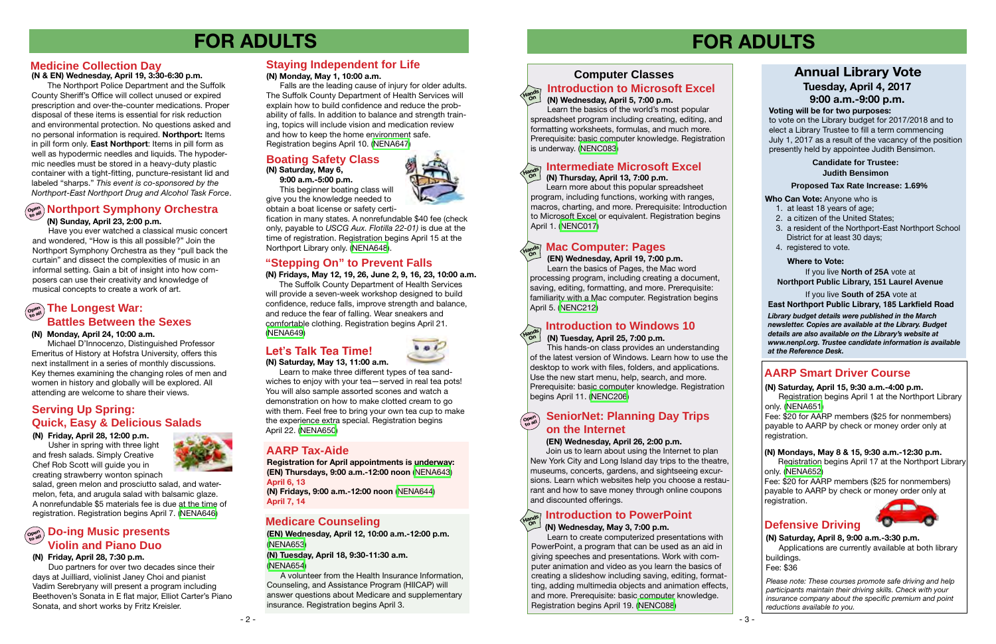## **Computer Classes**

# **FOR ADULTS FOR ADULTS**

**(EN) Wednesday, April 12, 10:00 a.m.-12:00 p.m.** ([NENA653](http://alpha1.suffolk.lib.ny.us/record%3Dg1071585~S43))

**(N) Tuesday, April 18, 9:30-11:30 a.m.**  ([NENA654](http://alpha1.suffolk.lib.ny.us/record%3Dg1071586~S43))

 A volunteer from the Health Insurance Information, Counseling, and Assistance Program (HIICAP) will answer questions about Medicare and supplementary insurance. Registration begins April 3.

## **Introduction to Microsoft Excel**

Fee: \$20 for AARP members (\$25 for nonmembers) payable to AARP by check or money order only at registration.

## **Defensive Driving**



*Please note: These courses promote safe driving and help participants maintain their driving skills. Check with your insurance company about the specific premium and point reductions available to you.*

## **AARP Smart Driver Course**

## **Northport Symphony Orchestra Ope<sup>n</sup> to all (N) Sunday, April 23, 2:00 p.m.**

### **(N) Saturday, April 15, 9:30 a.m.-4:00 p.m.**

Registration begins April 1 at the Northport Library only. [\(NENA651\)](http://alpha1.suffolk.lib.ny.us/record%3Dg1071616~S43)

## **Medicare Counseling**

## **SeniorNet: Planning Day Trips on the Internet**

Join us to learn about using the Internet to plan New York City and Long Island day trips to the theatre, museums, concerts, gardens, and sightseeing excursions. Learn which websites help you choose a restaurant and how to save money through online coupons and discounted offerings.

## **Introduction to PowerPoint**

Have you ever watched a classical music concert and wondered, "How is this all possible?" Join the Northport Symphony Orchestra as they "pull back the curtain" and dissect the complexities of music in an informal setting. Gain a bit of insight into how composers can use their creativity and knowledge of musical concepts to create a work of art.

# $\left(\begin{smallmatrix} \mathsf{open} \ \mathsf{non} \end{smallmatrix}\right)$  The Longest War:

### **(N) Monday, April 24, 10:00 a.m.**

Michael D'Innocenzo, Distinguished Professor Emeritus of History at Hofstra University, offers this next installment in a series of monthly discussions. Key themes examining the changing roles of men and women in history and globally will be explored. All attending are welcome to share their views.

Learn more about this popular spreadsheet program, including functions, working with ranges, macros, charting, and more. Prerequisite: Introduction to Microsoft Excel or equivalent. Registration begins April 1. [\(NENC017](http://alpha1.suffolk.lib.ny.us/record%3Dg1000954~S43))

### **(N) Tuesday, April 25, 7:00 p.m.**

This hands-on class provides an understanding of the latest version of Windows. Learn how to use the desktop to work with files, folders, and applications. Use the new start menu, help, search, and more. Prerequisite: basic computer knowledge. Registration begins April 11. [\(NENC206\)](http://alpha1.suffolk.lib.ny.us/record%3Dg1066488~S43)

**Ope<sup>n</sup>**

### **(EN) Wednesday, April 26, 2:00 p.m.**

**Battles Between the Sexes** comfortable clothing. Registration begins April 21.<br>Manday April 24, 19:00 a.m. (NEMAGA) The Suffolk County Department of Health Services will provide a seven-week workshop designed to build confidence, reduce falls, improve strength and balance, and reduce the fear of falling. Wear sneakers and [\(NENA649\)](http://alpha1.suffolk.lib.ny.us/record%3Dg1071612~S43)

### **(N) Friday, April 28, 12:00 p.m.**

 Usher in spring with three light and fresh salads. Simply Creative Chef Rob Scott will guide you in creating strawberry wonton spinach



salad, green melon and prosciutto salad, and watermelon, feta, and arugula salad with balsamic glaze. A nonrefundable \$5 materials fee is due at the time of registration. Registration begins April 7. [\(NENA646](http://alpha1.suffolk.lib.ny.us/record%3Dg1071579~S43))

## **Serving Up Spring: Quick, Easy & Delicious Salads**

## **Ope<sup>n</sup> to all Do-ing Music presents Violin and Piano Duo**

### **(N) Friday, April 28, 7:30 p.m.**

Duo partners for over two decades since their days at Juilliard, violinist Janey Choi and pianist Vadim Serebryany will present a program including Beethoven's Sonata in E flat major, Elliot Carter's Piano Sonata, and short works by Fritz Kreisler.

### **(N) Thursday, April 13, 7:00 p.m.**

**(N) Saturday, April 8, 9:00 a.m.-3:30 p.m.**

### **Intermediate Microsoft Excel Hands**

Applications are currently available at both library buildings.

Fee: \$36

**Hands On**

**Hands On**

**On**

 **9:00 a.m.-5:00 p.m.**



 This beginner boating class will give you the knowledge needed to obtain a boat license or safety certi-

### **(N) Saturday, May 6, Boating Safety Class**

fication in many states. A nonrefundable \$40 fee (check only, payable to *USCG Aux. Flotilla 22-01)* is due at the time of registration. Registration begins April 15 at the Northport Library only. ([NENA648](http://alpha1.suffolk.lib.ny.us/record%3Dg1071581~S43)).

## **Staying Independent for Life**

### **(N) Monday, May 1, 10:00 a.m.**

 Falls are the leading cause of injury for older adults. The Suffolk County Department of Health Services will explain how to build confidence and reduce the probability of falls. In addition to balance and strength training, topics will include vision and medication review and how to keep the home environment safe. Registration begins April 10. ([NENA647](http://alpha1.suffolk.lib.ny.us/record%3Dg1071580~S43))

**(N) Fridays, May 12, 19, 26, June 2, 9, 16, 23, 10:00 a.m.**

## **"Stepping On" to Prevent Falls**

 Learn to make three different types of tea sandwiches to enjoy with your tea—served in real tea pots! You will also sample assorted scones and watch a demonstration on how to make clotted cream to go

### **(N) Saturday, May 13, 11:00 a.m. Let's Talk Tea Time!**



## with them. Feel free to bring your own tea cup to make the experience extra special. Registration begins April 22. ([NENA650\)](http://alpha1.suffolk.lib.ny.us/record%3Dg1071584~S43)

### **(N) Wednesday, April 5, 7:00 p.m.**

 Learn the basics of the world's most popular spreadsheet program including creating, editing, and formatting worksheets, formulas, and much more. Prerequisite: basic computer knowledge. Registration is underway. [\(NENC083\)](http://alpha1.suffolk.lib.ny.us/record%3Dg1017266~S43)

## **Mac Computer: Pages**

### **(EN) Wednesday, April 19, 7:00 p.m.**

Learn the basics of Pages, the Mac word processing program, including creating a document, saving, editing, formatting, and more. Prerequisite: familiarity with a Mac computer. Registration begins April 5. [\(NENC212\)](http://alpha1.suffolk.lib.ny.us/record%3Dg1071874~S43)

**Hands On**

**On**

### **(N) Wednesday, May 3, 7:00 p.m.**

 Learn to create computerized presentations with PowerPoint, a program that can be used as an aid in giving speeches and presentations. Work with computer animation and video as you learn the basics of creating a slideshow including saving, editing, formatting, adding multimedia objects and animation effects, and more. Prerequisite: basic computer knowledge. Registration begins April 19. [\(NENC088\)](http://alpha1.suffolk.lib.ny.us/record%3Dg1019002~S43)

**(N) Mondays, May 8 & 15, 9:30 a.m.-12:30 p.m.**

Registration begins April 17 at the Northport Library only. ([NENA652](http://alpha1.suffolk.lib.ny.us/record%3Dg1071621~S43))

Fee: \$20 for AARP members (\$25 for nonmembers) payable to AARP by check or money order only at registration.

**Who Can Vote:** Anyone who is

- 1. at least 18 years of age;
- 2. a citizen of the United States;
- 3. a resident of the Northport-East Northport School District for at least 30 days;
- 4. registered to vote.

## **Annual Library Vote Tuesday, April 4, 2017 9:00 a.m.-9:00 p.m.**

### **Voting will be for two purposes:**

to vote on the Library budget for 2017/2018 and to elect a Library Trustee to fill a term commencing July 1, 2017 as a result of the vacancy of the position presently held by appointee Judith Bensimon.

If you live **North of 25A** vote at **Northport Public Library, 151 Laurel Avenue**

If you live **South of 25A** vote at

## **East Northport Public Library, 185 Larkfield Road**

### **Where to Vote:**

### **Proposed Tax Rate Increase: 1.69%**

### **Candidate for Trustee: Judith Bensimon**

*Library budget details were published in the March newsletter. Copies are available at the Library. Budget details are also available on the Library's website at www.nenpl.org. Trustee candidate information is available at the Reference Desk.*

## **AARP Tax-Aide**

**Registration for April appointments is underway: (EN) Thursdays, 9:00 a.m.-12:00 noon** ([NENA643](http://alpha1.suffolk.lib.ny.us/record%3Dg1070655~S43)) **April 6, 13**

**(N) Fridays, 9:00 a.m.-12:00 noon** [\(NENA644](http://alpha1.suffolk.lib.ny.us/record%3Dg1070687~S43)) **April 7, 14**

## **Medicine Collection Day**

**(N & EN) Wednesday, April 19, 3:30-6:30 p.m.**

 The Northport Police Department and the Suffolk County Sheriff's Office will collect unused or expired prescription and over-the-counter medications. Proper disposal of these items is essential for risk reduction and environmental protection. No questions asked and no personal information is required. **Northport:** Items in pill form only. **East Northport**: Items in pill form as well as hypodermic needles and liquids. The hypodermic needles must be stored in a heavy-duty plastic container with a tight-fitting, puncture-resistant lid and labeled "sharps." *This event is co-sponsored by the Northport-East Northport Drug and Alcohol Task Force*.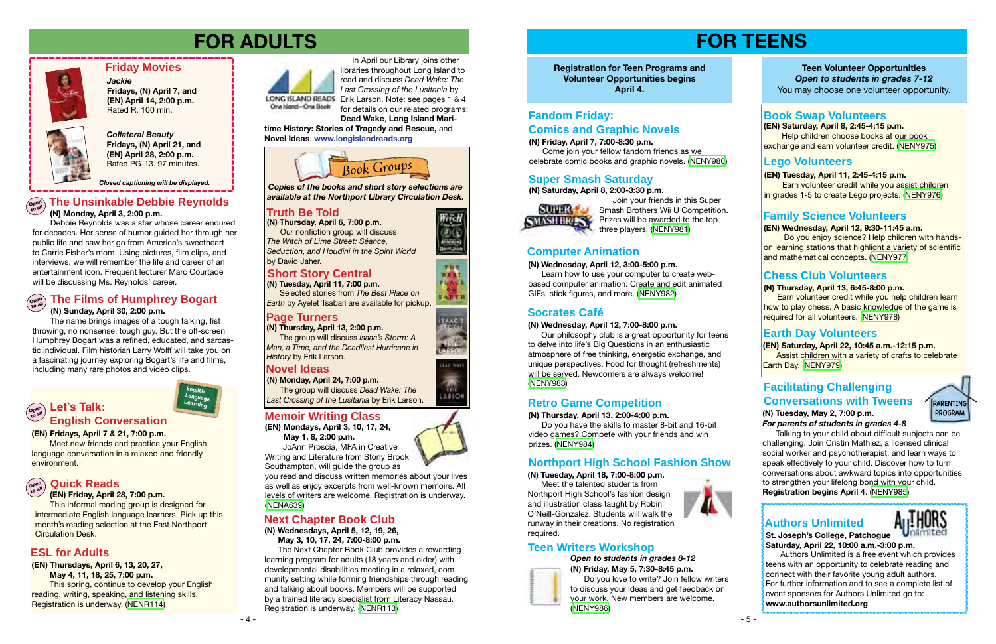### *Collateral Beauty*

**Fridays, (N) April 21, and (EN) April 28, 2:00 p.m.** Rated PG-13. 97 minutes.

### **Friday Movies**

*Jackie* **Fridays, (N) April 7, and (EN) April 14, 2:00 p.m.**  Rated R. 100 min.



*Closed captioning will be displayed.*

### **The Unsinkable Debbie Reynolds (N) Monday, April 3, 2:00 p.m. Ope<sup>n</sup> to all**

 Debbie Reynolds was a star whose career endured for decades. Her sense of humor guided her through her public life and saw her go from America's sweetheart to Carrie Fisher's mom. Using pictures, film clips, and interviews, we will remember the life and career of an entertainment icon. Frequent lecturer Marc Courtade will be discussing Ms. Reynolds' career.

# **FOR ADULTS FOR TEENS**



**(EN) Fridays, April 7 & 21, 7:00 p.m.** 

Meet new friends and practice your English language conversation in a relaxed and friendly environment.

### **(EN) Friday, April 28, 7:00 p.m.**



This informal reading group is designed for intermediate English language learners. Pick up this month's reading selection at the East Northport Circulation Desk.

**(N) Thursday, April 6, 7:00 p.m.** Our nonfiction group will discuss *The Witch of Lime Street: Séance, Seduction, and Houdini in the Spirit World* by David Jaher.

### **Ope<sup>n</sup> to all Quick Reads**

## **English Conversation**

**English Language Learning**

**(EN) Thursdays, April 6, 13, 20, 27,** 

 **May 4, 11, 18, 25, 7:00 p.m.** This spring, continue to develop your English reading, writing, speaking, and listening skills. Registration is underway. [\(NENR114\)](http://alpha1.suffolk.lib.ny.us/record%3Dg1070941~S43)



In April our Library joins other libraries throughout Long Island to read and discuss *Dead Wake: The Last Crossing of the Lusitania* by LONG ISLAND READS Erik Larson. Note: see pages 1 & 4

## **ESL for Adults**

### **(N) Wednesdays, April 5, 12, 19, 26, May 3, 10, 17, 24, 7:00-8:00 p.m.**

 The Next Chapter Book Club provides a rewarding learning program for adults (18 years and older) with developmental disabilities meeting in a relaxed, community setting while forming friendships through reading and talking about books. Members will be supported by a trained literacy specialist from Literacy Nassau. Registration is underway. ([NENR113\)](http://alpha1.suffolk.lib.ny.us/record%3Dg1070212~S43)

## **Next Chapter Book Club**



## **Truth Be Told**

## **Page Turners**

## **Novel Ideas**

**(N) Thursday, April 13, 2:00 p.m.** The group will discuss *Isaac's Storm: A Man, a Time, and the Deadliest Hurricane in History* by Erik Larson.

*Copies of the books and short story selections are available at the Northport Library Circulation Desk.*

**(N) Monday, April 24, 7:00 p.m.** The group will discuss *Dead Wake: The Last Crossing of the Lusitania* by Erik Larson.

## **Short Story Central**

**(N) Tuesday, April 11, 7:00 p.m.** Selected stories from *The Best Place on Earth* by Ayelet Tsabari are available for pickup.

for details on our related programs: **Dead Wake**, **Long Island Mari-**

**time History: Stories of Tragedy and Rescue,** and **Novel Ideas**. **www.longislandreads.org**

> *Open to students in grades 8-12* **(N) Friday, May 5, 7:30-8:45 p.m.**



 Do you love to write? Join fellow writers to discuss your ideas and get feedback on your work. New members are welcome. ([NENY986](http://alpha1.suffolk.lib.ny.us/record%3Dg1071641~S43))





near

EARTH







**(EN) Saturday, April 8, 2:45-4:15 p.m.** Help children choose books at our book exchange and earn volunteer credit. ([NENY975](http://alpha1.suffolk.lib.ny.us/record%3Dg1071643~S43))

## **(N) Thursday, April 13, 6:45-8:00 p.m.**

 Earn volunteer credit while you help children learn how to play chess. A basic knowledge of the game is required for all volunteers. ([NENY978](http://alpha1.suffolk.lib.ny.us/record%3Dg1071678~S43))

**(N) Saturday, April 8, 2:00-3:30 p.m.**



**PARENTING PROGRAM**

 Join your friends in this Super Smash Brothers Wii U Competition. **SMASH BRASS** Prizes will be awarded to the top three players. [\(NENY981\)](http://alpha1.suffolk.lib.ny.us/record%3Dg1071609~S43)

## **Book Swap Volunteers**

**(EN) Tuesday, April 11, 2:45-4:15 p.m. Earn volunteer credit while you assist children** in grades 1-5 to create Lego projects. [\(NENY976](http://alpha1.suffolk.lib.ny.us/record%3Dg1071646~S43))

## **Teen Writers Workshop**

## **Super Smash Saturday**

**Teen Volunteer Opportunities** *Open to students in grades 7-12* You may choose one volunteer opportunity.

## **Lego Volunteers**

## **Earth Day Volunteers**

## **Computer Animation**

### **(N) Wednesday, April 12, 3:00-5:00 p.m.**

 Learn how to use your computer to create webbased computer animation. Create and edit animated GIFs, stick figures, and more. [\(NENY982](http://alpha1.suffolk.lib.ny.us/record%3Dg1071618~S43))

## **Chess Club Volunteers**

## **Family Science Volunteers**

## **(EN) Wednesday, April 12, 9:30-11:45 a.m.**

 Do you enjoy science? Help children with handson learning stations that highlight a variety of scientific and mathematical concepts. ([NENY977](http://alpha1.suffolk.lib.ny.us/record%3Dg1071677~S43))

## **Fandom Friday: Comics and Graphic Novels**

**(N) Friday, April 7, 7:00-8:30 p.m.**

 Come join your fellow fandom friends as we celebrate comic books and graphic novels. ([NENY980](http://alpha1.suffolk.lib.ny.us/record%3Dg1071603~S43))

## **Socrates Café**

### **(N) Wednesday, April 12, 7:00-8:00 p.m.**

 Our philosophy club is a great opportunity for teens to delve into life's Big Questions in an enthusiastic atmosphere of free thinking, energetic exchange, and unique perspectives. Food for thought (refreshments) will be served. Newcomers are always welcome! [\(NENY983](http://alpha1.suffolk.lib.ny.us/record%3Dg1071620~S43))

## **Retro Game Competition**

### **(N) Thursday, April 13, 2:00-4:00 p.m.**

 Do you have the skills to master 8-bit and 16-bit video games? Compete with your friends and win prizes. [\(NENY984\)](http://alpha1.suffolk.lib.ny.us/record%3Dg1071623~S43)

## **Northport High School Fashion Show**

**(N) Tuesday, April 18, 7:00-8:00 p.m.**

 Meet the talented students from Northport High School's fashion design and illustration class taught by Robin O'Neill-Gonzalez. Students will walk the runway in their creations. No registration required.



## **Facilitating Challenging Conversations with Tweens**



 Talking to your child about difficult subjects can be challenging. Join Cristin Mathiez, a licensed clinical social worker and psychotherapist, and learn ways to speak effectively to your child. Discover how to turn conversations about awkward topics into opportunities to strengthen your lifelong bond with your child. **Registration begins April 4**. [\(NENY985\)](http://alpha1.suffolk.lib.ny.us/record%3Dg1071630~S43)

## **(EN) Saturday, April 22, 10:45 a.m.-12:15 p.m.**

 Assist children with a variety of crafts to celebrate Earth Day. ([NENY979](http://alpha1.suffolk.lib.ny.us/record%3Dg1071681~S43))

**St. Joseph's College, Patchogue Saturday, April 22, 10:00 a.m.-3:00 p.m.**

Authors Unlimited is a free event which provides teens with an opportunity to celebrate reading and connect with their favorite young adult authors. For further information and to see a complete list of event sponsors for Authors Unlimited go to: **www.authorsunlimited.org**

## **Authors Unlimited**



## **Memoir Writing Class**

**(EN) Mondays, April 3, 10, 17, 24, May 1, 8, 2:00 p.m.**

 JoAnn Proscia, MFA in Creative Writing and Literature from Stony Brook

Southampton, will guide the group as

you read and discuss written memories about your lives as well as enjoy excerpts from well-known memoirs. All levels of writers are welcome. Registration is underway. [\(NENA639\)](http://alpha1.suffolk.lib.ny.us/record%3Dg1070615~S43)

 **(N) Sunday, April 30, 2:00 p.m.**

### **The Films of Humphrey Bogart Ope<sup>n</sup> to all**

 The name brings images of a tough talking, fist throwing, no nonsense, tough guy. But the off-screen Humphrey Bogart was a refined, educated, and sarcastic individual. Film historian Larry Wolff will take you on a fascinating journey exploring Bogart's life and films, including many rare photos and video clips.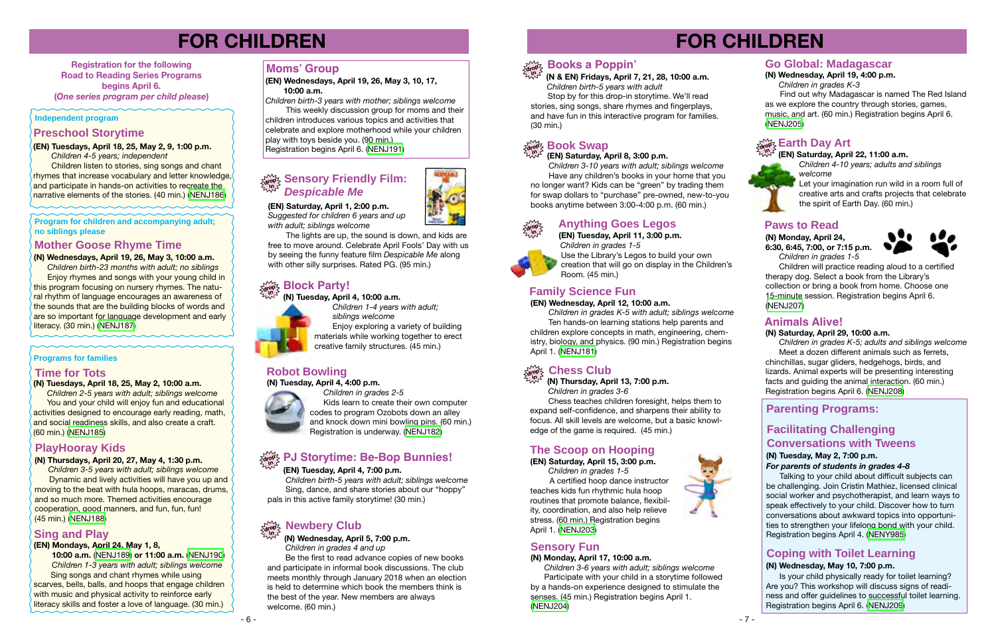# **FOR CHILDREN**

### **(N) Saturday, April 29, 10:00 a.m.**

 *Children in grades K-5; adults and siblings welcome* Meet a dozen different animals such as ferrets, chinchillas, sugar gliders, hedgehogs, birds, and lizards. Animal experts will be presenting interesting facts and guiding the animal interaction. (60 min.) Registration begins April 6. [\(NENJ208\)](http://alpha1.suffolk.lib.ny.us/record%3Dg1070470~S43)

## **Animals Alive!**



**(EN) Saturday, April 15, 3:00 p.m.**

*Children in grades 1-5* A certified hoop dance instructor teaches kids fun rhythmic hula hoop routines that promote balance, flexibility, coordination, and also help relieve stress. (60 min.) Registration begins April 1. [\(NENJ203\)](http://alpha1.suffolk.lib.ny.us/record%3Dg1070481~S43)



Find out why Madagascar is named The Red Island as we explore the country through stories, games, music, and art. (60 min.) Registration begins April 6. [\(NENJ205](http://alpha1.suffolk.lib.ny.us/record%3Dg1070516~S43))

## **Earth Day Art**

## **The Scoop on Hooping**

*Children 4-10 years; adults and siblings welcome*

### **(EN) Saturday, April 22, 11:00 a.m. in**

Let your imagination run wild in a room full of creative arts and crafts projects that celebrate the spirit of Earth Day. (60 min.)

### **(N) Wednesday, April 19, 4:00 p.m.**

 *Children in grades K-3*

**Children listen to stories, sing songs and chant** rhymes that increase vocabulary and letter knowledge, and participate in hands-on activities to recreate the narrative elements of the stories. (40 min.) [\(NENJ186](http://alpha1.suffolk.lib.ny.us/record%3Dg1070928~S43))

## **Go Global: Madagascar**



# **FOR CHILDREN**

**Registration for the following Road to Reading Series Programs begins April 6. (***One series program per child please***)**

### **(EN) Mondays, April 24, May 1, 8,**

 **10:00 a.m.** [\(NENJ189\)](http://alpha1.suffolk.lib.ny.us/record%3Dg1070988~S43) **or 11:00 a.m.** [\(NENJ190\)](http://alpha1.suffolk.lib.ny.us/record%3Dg1070991~S43)  *Children 1-3 years with adult; siblings welcome* Sing songs and chant rhymes while using scarves, bells, balls, and hoops that engage children with music and physical activity to reinforce early literacy skills and foster a love of language. (30 min.)

## **drop & Sensory Friendly Film:**<br>All **Primes** *Despicable Me*

## **Sing and Play**

## **Preschool Storytime**

### **(EN) Tuesdays, April 18, 25, May 2, 9, 1:00 p.m.**  *Children 4-5 years; independent*

### **(N) Thursdays, April 20, 27, May 4, 1:30 p.m.**

*Children 3-5 years with adult; siblings welcome*  Dynamic and lively activities will have you up and moving to the beat with hula hoops, maracas, drums, and so much more. Themed activities encourage cooperation, good manners, and fun, fun, fun! (45 min.) [\(NENJ188](http://alpha1.suffolk.lib.ny.us/record%3Dg1070922~S43))

## **PlayHooray Kids**

### **(EN) Wednesdays, April 19, 26, May 3, 10, 17, 10:00 a.m.**

*Children birth-3 years with mother; siblings welcome*

This weekly discussion group for moms and their children introduces various topics and activities that celebrate and explore motherhood while your children play with toys beside you. (90 min.)

Registration begins April 6. [\(NENJ191](http://alpha1.suffolk.lib.ny.us/record%3Dg1070931~S43))

## **Moms' Group**

### **(EN) Tuesday, April 4, 7:00 p.m.**

 *Children birth-5 years with adult; siblings welcome* Sing, dance, and share stories about our "hoppy" pals in this active family storytime! (30 min.)

## **dro<sup>p</sup>PJ Storytime: Be-Bop Bunnies! in**

## **Mother Goose Rhyme Time**

### **(N) Wednesdays, April 19, 26, May 3, 10:00 a.m.**

 *Children birth-23 months with adult; no siblings* **Enjoy rhymes and songs with your young child in** this program focusing on nursery rhymes. The natural rhythm of language encourages an awareness of the sounds that are the building blocks of words and are so important for language development and early literacy. (30 min.) ([NENJ187](http://alpha1.suffolk.lib.ny.us/record%3Dg1070921~S43))

### **(EN) Saturday, April 1, 2:00 p.m.**

*Suggested for children 6 years and up with adult; siblings welcome*

 The lights are up, the sound is down, and kids are free to move around. Celebrate April Fools' Day with us by seeing the funny feature film *Despicable Me* along with other silly surprises. Rated PG. (95 min.)

### **drop Block Party! in**

### **(N) Tuesday, April 4, 10:00 a.m.**

 *Children 1-4 years with adult;* 

 *siblings welcome*

Enjoy exploring a variety of building

materials while working together to erect creative family structures. (45 min.)

### **(N) Tuesday, April 4, 4:00 p.m.**



 *Children in grades 2-5* Kids learn to create their own computer codes to program Ozobots down an alley and knock down mini bowling pins. (60 min.) Registration is underway. [\(NENJ182\)](http://alpha1.suffolk.lib.ny.us/record%3Dg1070301~S43)

# **Robot Bowling**

### **(N) Wednesday, April 5, 7:00 p.m.**

 *Children in grades 4 and up*

 Be the first to read advance copies of new books and participate in informal book discussions. The club meets monthly through January 2018 when an election is held to determine which book the members think is the best of the year. New members are always welcome. (60 min.)

### **drop in Newbery Club**

**(N & EN) Fridays, April 7, 21, 28, 10:00 a.m.** *Children birth-5 years with adult*

 Stop by for this drop-in storytime. We'll read stories, sing songs, share rhymes and fingerplays, and have fun in this interactive program for families. (30 min.)

## **Book Swap**

## **drop in Books a Poppin'**

### **(EN) Saturday, April 8, 3:00 p.m.**

 *Children 3-10 years with adult; siblings welcome* Have any children's books in your home that you no longer want? Kids can be "green" by trading them for swap dollars to "purchase" pre-owned, new-to-you books anytime between 3:00-4:00 p.m. (60 min.)

### **(EN) Tuesday, April 11, 3:00 p.m.**  *Children in grades 1-5* Use the Library's Legos to build your own creation that will go on display in the Children's Room. (45 min.)

### **(EN) Wednesday, April 12, 10:00 a.m.**

 *Children in grades K-5 with adult; siblings welcome* Ten hands-on learning stations help parents and children explore concepts in math, engineering, chemistry, biology, and physics. (90 min.) Registration begins April 1. ([NENJ181\)](http://alpha1.suffolk.lib.ny.us/record%3Dg1070158~S43)

## **Family Science Fun**

**(N) Thursday, April 13, 7:00 p.m.**  *Children in grades 3-6*

### **drop in Chess Club**

 Chess teaches children foresight, helps them to expand self-confidence, and sharpens their ability to focus. All skill levels are welcome, but a basic knowledge of the game is required. (45 min.)

### **(N) Monday, April 17, 10:00 a.m.**

 *Children 3-6 years with adult; siblings welcome* Participate with your child in a storytime followed by a hands-on experience designed to stimulate the senses. (45 min.) Registration begins April 1. ([NENJ204](http://alpha1.suffolk.lib.ny.us/record%3Dg1070399~S43))

## **Sensory Fun**

## **Paws to Read**

**(N) Monday, April 24, 6:30, 6:45, 7:00, or 7:15 p.m.**

 *Children in grades 1-5*



 Children will practice reading aloud to a certified therapy dog. Select a book from the Library's collection or bring a book from home. Choose one 15-minute session. Registration begins April 6. [\(NENJ207\)](http://alpha1.suffolk.lib.ny.us/record%3Dg1070846~S43)

### **Time for Tots**

### **(N) Tuesdays, April 18, 25, May 2, 10:00 a.m.**

 *Children 2-5 years with adult; siblings welcome* You and your child will enjoy fun and educational activities designed to encourage early reading, math, and social readiness skills, and also create a craft. (60 min.) ([NENJ185](http://alpha1.suffolk.lib.ny.us/record%3Dg1070920~S43))

### **Independent program**

**Program for children and accompanying adult; no siblings please** 

### **Programs for families**

**Parenting Programs:**

## **Facilitating Challenging Conversations with Tweens**

### **(N) Tuesday, May 2, 7:00 p.m.** *For parents of students in grades 4-8*

 Talking to your child about difficult subjects can be challenging. Join Cristin Mathiez, licensed clinical social worker and psychotherapist, and learn ways to speak effectively to your child. Discover how to turn conversations about awkward topics into opportunities to strengthen your lifelong bond with your child. Registration begins April 4. [\(NENY985\)](http://alpha1.suffolk.lib.ny.us/record%3Dg1071630~S43)

## **Coping with Toilet Learning**

### **(N) Wednesday, May 10, 7:00 p.m.**

Is your child physically ready for toilet learning? Are you? This workshop will discuss signs of readiness and offer guidelines to successful toilet learning. Registration begins April 6. [\(NENJ209\)](http://alpha1.suffolk.lib.ny.us/record%3Dg1070925~S43)